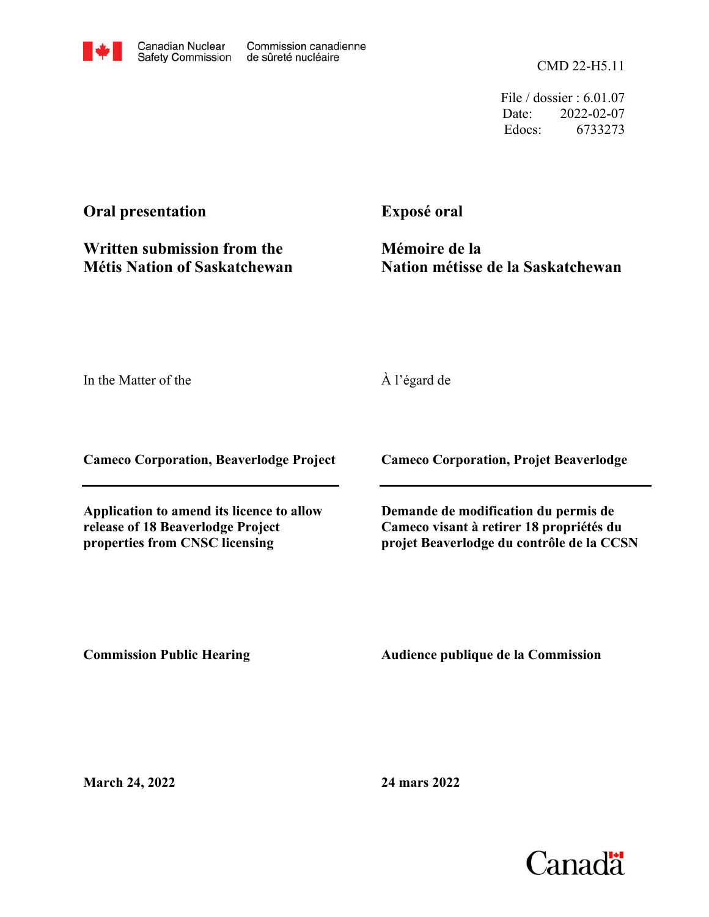CMD 22-H5.11

File / dossier : 6.01.07 Date: 2022-02-07 Edocs: 6733273

# **Oral presentation**

**Written submission from the Métis Nation of Saskatchewan** **Exposé oral**

**Mémoire de la Nation métisse de la Saskatchewan**

In the Matter of the

À l'égard de

**Cameco Corporation, Beaverlodge Project**

**Application to amend its licence to allow release of 18 Beaverlodge Project properties from CNSC licensing**

**Cameco Corporation, Projet Beaverlodge**

**Demande de modification du permis de Cameco visant à retirer 18 propriétés du projet Beaverlodge du contrôle de la CCSN**

**Commission Public Hearing**

**Audience publique de la Commission** 

**March 24, 2022**

**24 mars 2022**

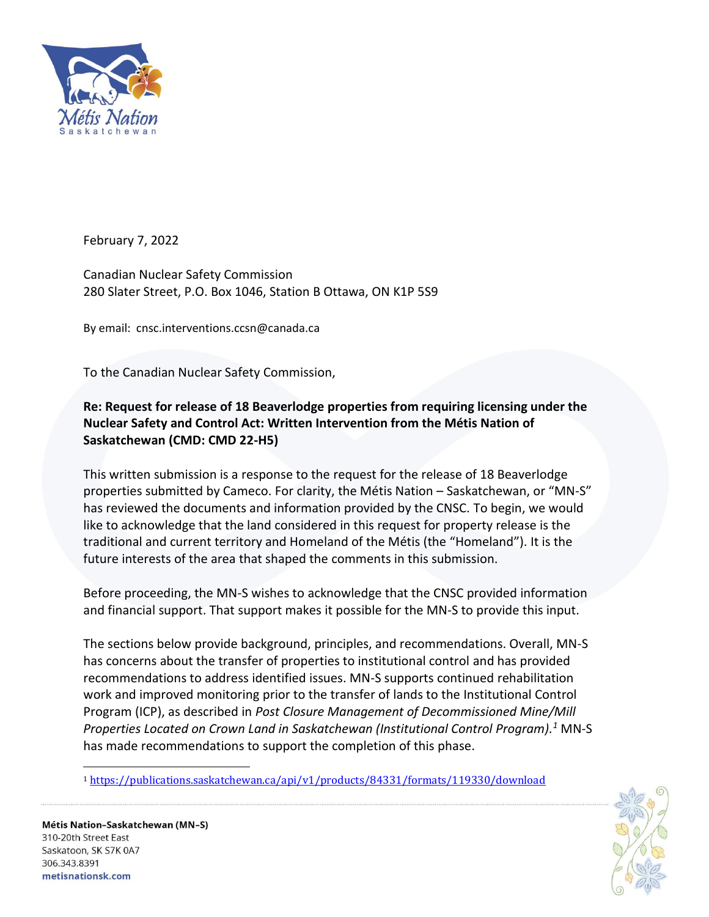

February 7, 2022

Canadian Nuclear Safety Commission 280 Slater Street, P.O. Box 1046, Station B Ottawa, ON K1P 5S9

By email: [cnsc.interventions.ccsn@canada.ca](mailto:cnsc.interventions.ccsn@canada.ca)

To the Canadian Nuclear Safety Commission,

# **Re: Request for release of 18 Beaverlodge properties from requiring licensing under the Nuclear Safety and Control Act: Written Intervention from the Métis Nation of Saskatchewan (CMD: CMD 22-H5)**

This written submission is a response to the request for the release of 18 Beaverlodge properties submitted by Cameco. For clarity, the Métis Nation – Saskatchewan, or "MN-S" has reviewed the documents and information provided by the CNSC. To begin, we would like to acknowledge that the land considered in this request for property release is the traditional and current territory and Homeland of the Métis (the "Homeland"). It is the future interests of the area that shaped the comments in this submission.

Before proceeding, the MN-S wishes to acknowledge that the CNSC provided information and financial support. That support makes it possible for the MN-S to provide this input.

The sections below provide background, principles, and recommendations. Overall, MN-S has concerns about the transfer of properties to institutional control and has provided recommendations to address identified issues. MN-S supports continued rehabilitation work and improved monitoring prior to the transfer of lands to the Institutional Control Program (ICP), as described in *Post Closure Management of Decommissioned Mine/Mill Properties Located on Crown Land in Saskatchewan (Institutional Control Program). <sup>1</sup>* MN-S has made recommendations to support the completion of this phase.

<sup>1</sup> <https://publications.saskatchewan.ca/api/v1/products/84331/formats/119330/download>



Métis Nation–Saskatchewan (MN–S) 310-20th Street East Saskatoon, SK S7K 0A7 306.343.8391 metisnationsk.com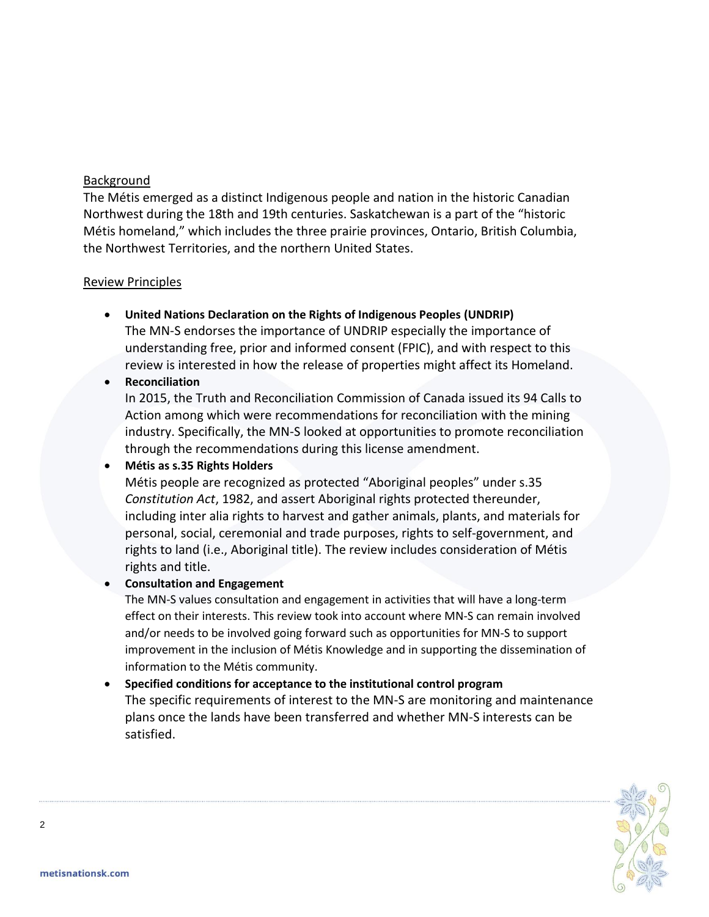# Background

The Métis emerged as a distinct Indigenous people and nation in the historic Canadian Northwest during the 18th and 19th centuries. Saskatchewan is a part of the "historic Métis homeland," which includes the three prairie provinces, Ontario, British Columbia, the Northwest Territories, and the northern United States.

# Review Principles

• **United Nations Declaration on the Rights of Indigenous Peoples (UNDRIP)** The MN-S endorses the importance of UNDRIP especially the importance of understanding free, prior and informed consent (FPIC), and with respect to this review is interested in how the release of properties might affect its Homeland.

# • **Reconciliation**

In 2015, the Truth and Reconciliation Commission of Canada issued its 94 Calls to Action among which were recommendations for reconciliation with the mining industry. Specifically, the MN-S looked at opportunities to promote reconciliation through the recommendations during this license amendment.

# • **Métis as s.35 Rights Holders**

Métis people are recognized as protected "Aboriginal peoples" under s.35 *Constitution Act*, 1982, and assert Aboriginal rights protected thereunder, including inter alia rights to harvest and gather animals, plants, and materials for personal, social, ceremonial and trade purposes, rights to self-government, and rights to land (i.e., Aboriginal title). The review includes consideration of Métis rights and title.

# • **Consultation and Engagement**

The MN-S values consultation and engagement in activities that will have a long-term effect on their interests. This review took into account where MN-S can remain involved and/or needs to be involved going forward such as opportunities for MN-S to support improvement in the inclusion of Métis Knowledge and in supporting the dissemination of information to the Métis community.

# • **Specified conditions for acceptance to the institutional control program**

The specific requirements of interest to the MN-S are monitoring and maintenance plans once the lands have been transferred and whether MN-S interests can be satisfied.



2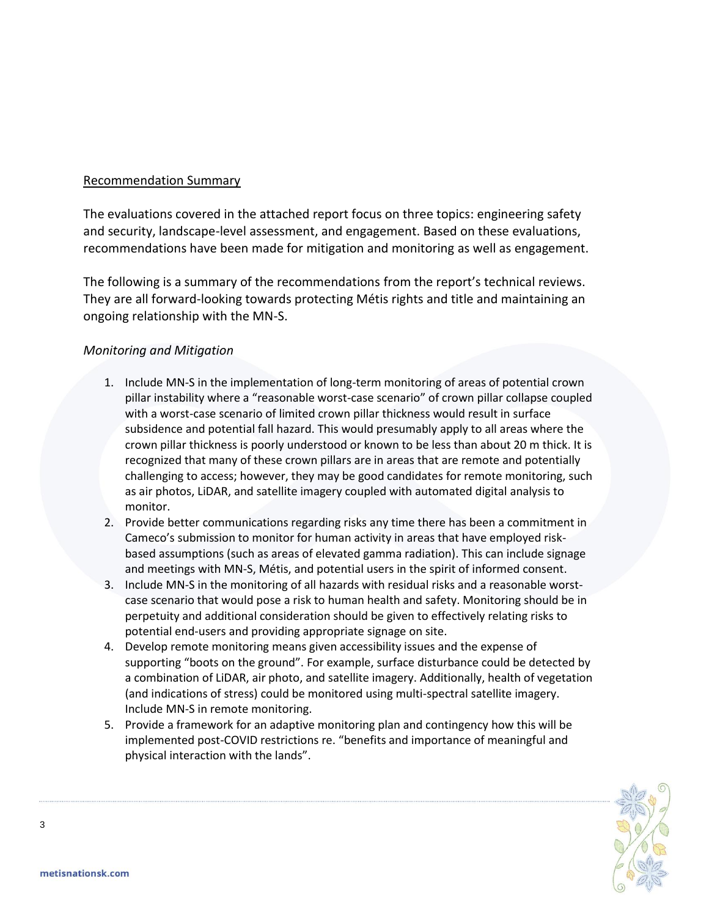# Recommendation Summary

The evaluations covered in the attached report focus on three topics: engineering safety and security, landscape-level assessment, and engagement. Based on these evaluations, recommendations have been made for mitigation and monitoring as well as engagement.

The following is a summary of the recommendations from the report's technical reviews. They are all forward-looking towards protecting Métis rights and title and maintaining an ongoing relationship with the MN-S.

# *Monitoring and Mitigation*

- 1. Include MN-S in the implementation of long-term monitoring of areas of potential crown pillar instability where a "reasonable worst-case scenario" of crown pillar collapse coupled with a worst-case scenario of limited crown pillar thickness would result in surface subsidence and potential fall hazard. This would presumably apply to all areas where the crown pillar thickness is poorly understood or known to be less than about 20 m thick. It is recognized that many of these crown pillars are in areas that are remote and potentially challenging to access; however, they may be good candidates for remote monitoring, such as air photos, LiDAR, and satellite imagery coupled with automated digital analysis to monitor.
- 2. Provide better communications regarding risks any time there has been a commitment in Cameco's submission to monitor for human activity in areas that have employed riskbased assumptions (such as areas of elevated gamma radiation). This can include signage and meetings with MN-S, Métis, and potential users in the spirit of informed consent.
- 3. Include MN-S in the monitoring of all hazards with residual risks and a reasonable worstcase scenario that would pose a risk to human health and safety. Monitoring should be in perpetuity and additional consideration should be given to effectively relating risks to potential end-users and providing appropriate signage on site.
- 4. Develop remote monitoring means given accessibility issues and the expense of supporting "boots on the ground". For example, surface disturbance could be detected by a combination of LiDAR, air photo, and satellite imagery. Additionally, health of vegetation (and indications of stress) could be monitored using multi-spectral satellite imagery. Include MN-S in remote monitoring.
- 5. Provide a framework for an adaptive monitoring plan and contingency how this will be implemented post-COVID restrictions re. "benefits and importance of meaningful and physical interaction with the lands".



3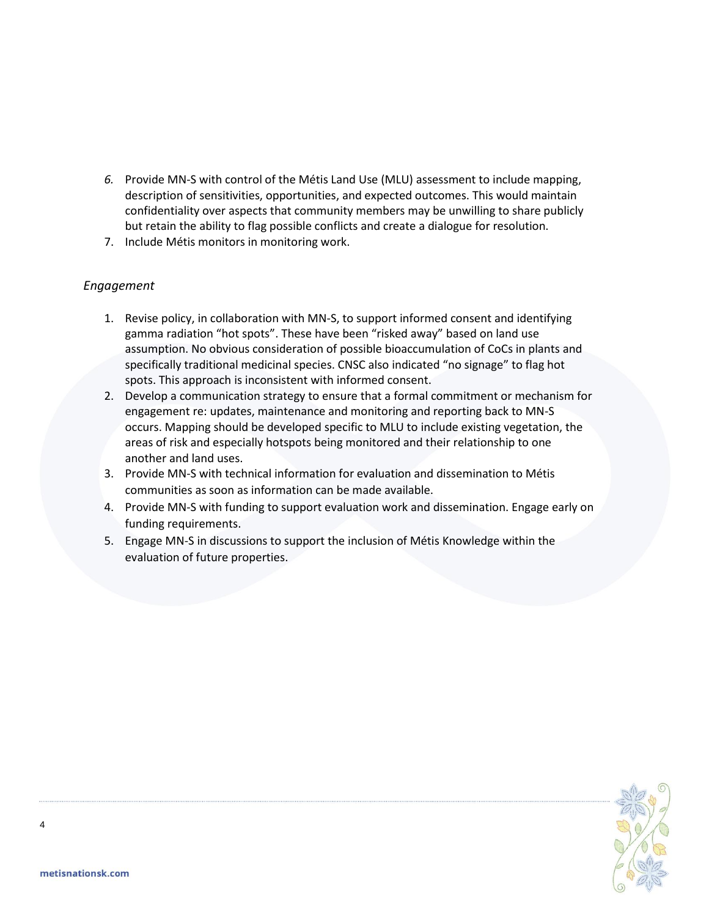- *6.* Provide MN-S with control of the Métis Land Use (MLU) assessment to include mapping, description of sensitivities, opportunities, and expected outcomes. This would maintain confidentiality over aspects that community members may be unwilling to share publicly but retain the ability to flag possible conflicts and create a dialogue for resolution.
- 7. Include Métis monitors in monitoring work.

# *Engagement*

- 1. Revise policy, in collaboration with MN-S, to support informed consent and identifying gamma radiation "hot spots". These have been "risked away" based on land use assumption. No obvious consideration of possible bioaccumulation of CoCs in plants and specifically traditional medicinal species. CNSC also indicated "no signage" to flag hot spots. This approach is inconsistent with informed consent.
- 2. Develop a communication strategy to ensure that a formal commitment or mechanism for engagement re: updates, maintenance and monitoring and reporting back to MN-S occurs. Mapping should be developed specific to MLU to include existing vegetation, the areas of risk and especially hotspots being monitored and their relationship to one another and land uses.
- 3. Provide MN-S with technical information for evaluation and dissemination to Métis communities as soon as information can be made available.
- 4. Provide MN-S with funding to support evaluation work and dissemination. Engage early on funding requirements.
- 5. Engage MN-S in discussions to support the inclusion of Métis Knowledge within the evaluation of future properties.



4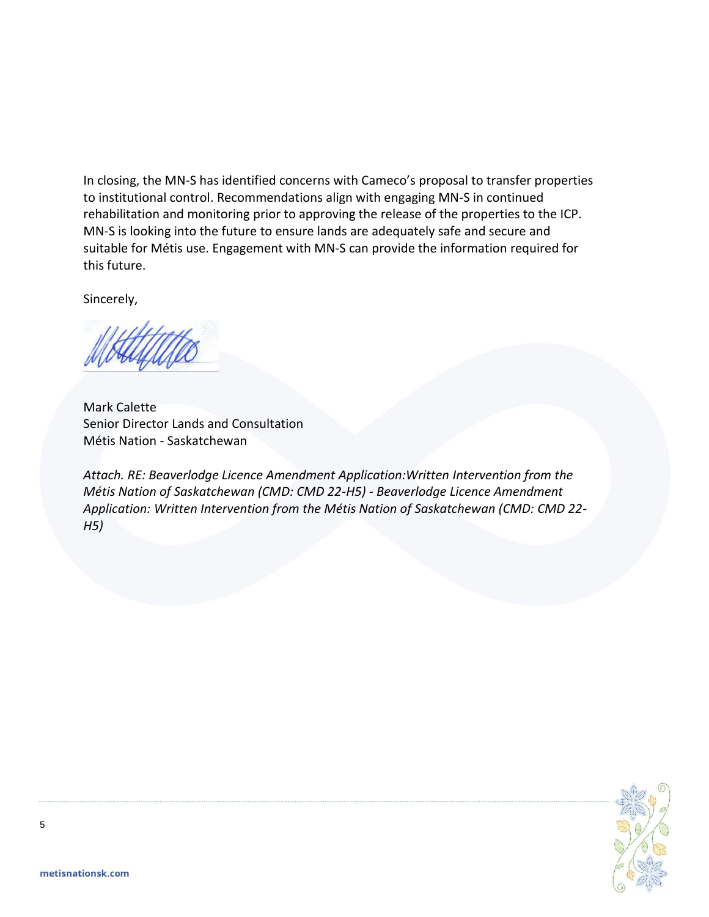In closing, the MN-S has identified concerns with Cameco's proposal to transfer properties to institutional control. Recommendations align with engaging MN-S in continued rehabilitation and monitoring prior to approving the release of the properties to the ICP. MN-S is looking into the future to ensure lands are adequately safe and secure and suitable for Métis use. Engagement with MN-S can provide the information required for this future.

Sincerely,

Mark Calette Senior Director Lands and Consultation Métis Nation - Saskatchewan

*Attach. RE: Beaverlodge Licence Amendment Application:Written Intervention from the Métis Nation of Saskatchewan (CMD: CMD 22-H5) - Beaverlodge Licence Amendment Application: Written Intervention from the Métis Nation of Saskatchewan (CMD: CMD 22- H5)*

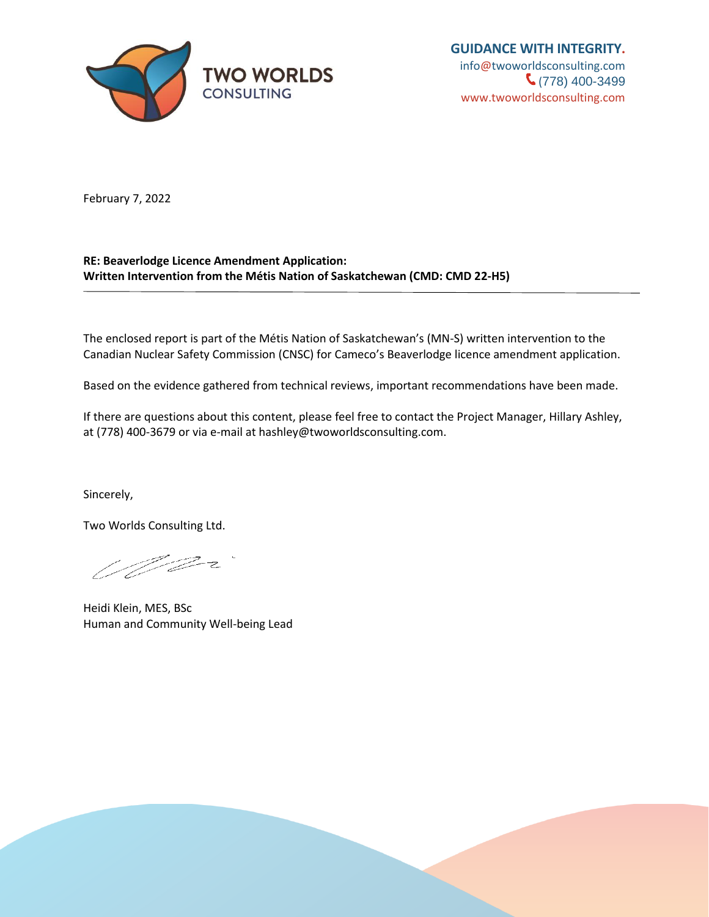

**GUIDANCE WITH INTEGRITY.** [info@twoworldsconsulting.com](mailto:info@twoworldsconsulting.com)  $\binom{778}{400-3499}$ [www.twoworldsconsulting.com](http://www.twoworldsconsulting.com/)

February 7, 2022

# **RE: Beaverlodge Licence Amendment Application: Written Intervention from the Métis Nation of Saskatchewan (CMD: CMD 22-H5)**

The enclosed report is part of the Métis Nation of Saskatchewan's (MN-S) written intervention to the Canadian Nuclear Safety Commission (CNSC) for Cameco's Beaverlodge licence amendment application.

Based on the evidence gathered from technical reviews, important recommendations have been made.

If there are questions about this content, please feel free to contact the Project Manager, Hillary Ashley, at (778) 400-3679 or via e-mail at hashley@twoworldsconsulting.com.

Sincerely,

Two Worlds Consulting Ltd.

<u> U</u>lf Dr

Heidi Klein, MES, BSc Human and Community Well-being Lead

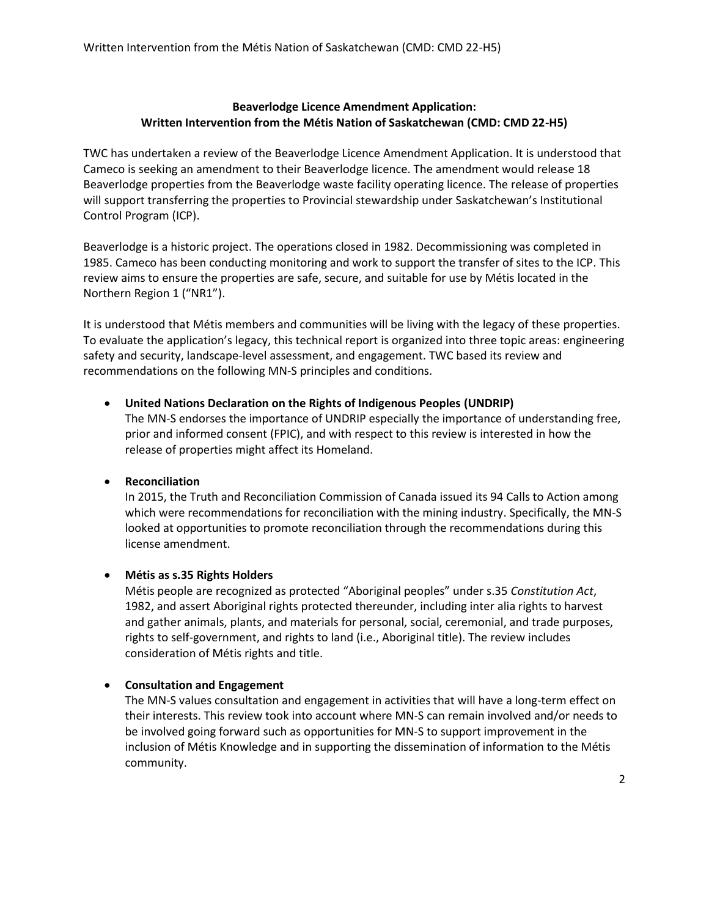# **Beaverlodge Licence Amendment Application: Written Intervention from the Métis Nation of Saskatchewan (CMD: CMD 22-H5)**

TWC has undertaken a review of the Beaverlodge Licence Amendment Application. It is understood that Cameco is seeking an amendment to their Beaverlodge licence. The amendment would release 18 Beaverlodge properties from the Beaverlodge waste facility operating licence. The release of properties will support transferring the properties to Provincial stewardship under Saskatchewan's Institutional Control Program (ICP).

Beaverlodge is a historic project. The operations closed in 1982. Decommissioning was completed in 1985. Cameco has been conducting monitoring and work to support the transfer of sites to the ICP. This review aims to ensure the properties are safe, secure, and suitable for use by Métis located in the Northern Region 1 ("NR1").

It is understood that Métis members and communities will be living with the legacy of these properties. To evaluate the application's legacy, this technical report is organized into three topic areas: engineering safety and security, landscape-level assessment, and engagement. TWC based its review and recommendations on the following MN-S principles and conditions.

# • **United Nations Declaration on the Rights of Indigenous Peoples (UNDRIP)**

The MN-S endorses the importance of UNDRIP especially the importance of understanding free, prior and informed consent (FPIC), and with respect to this review is interested in how the release of properties might affect its Homeland.

# • **Reconciliation**

In 2015, the Truth and Reconciliation Commission of Canada issued its 94 Calls to Action among which were recommendations for reconciliation with the mining industry. Specifically, the MN-S looked at opportunities to promote reconciliation through the recommendations during this license amendment.

# • **Métis as s.35 Rights Holders**

Métis people are recognized as protected "Aboriginal peoples" under s.35 *Constitution Act*, 1982, and assert Aboriginal rights protected thereunder, including inter alia rights to harvest and gather animals, plants, and materials for personal, social, ceremonial, and trade purposes, rights to self-government, and rights to land (i.e., Aboriginal title). The review includes consideration of Métis rights and title.

# • **Consultation and Engagement**

The MN-S values consultation and engagement in activities that will have a long-term effect on their interests. This review took into account where MN-S can remain involved and/or needs to be involved going forward such as opportunities for MN-S to support improvement in the inclusion of Métis Knowledge and in supporting the dissemination of information to the Métis community.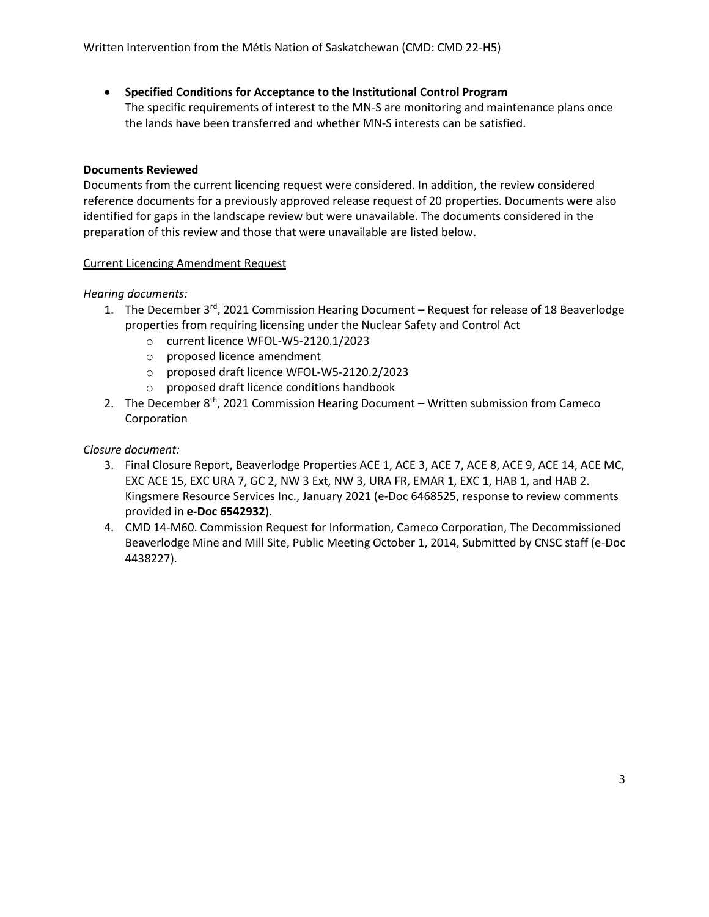# • **Specified Conditions for Acceptance to the Institutional Control Program**

The specific requirements of interest to the MN-S are monitoring and maintenance plans once the lands have been transferred and whether MN-S interests can be satisfied.

# **Documents Reviewed**

Documents from the current licencing request were considered. In addition, the review considered reference documents for a previously approved release request of 20 properties. Documents were also identified for gaps in the landscape review but were unavailable. The documents considered in the preparation of this review and those that were unavailable are listed below.

#### Current Licencing Amendment Request

#### *Hearing documents:*

- 1. The December  $3^{rd}$ , 2021 Commission Hearing Document Request for release of 18 Beaverlodge properties from requiring licensing under the Nuclear Safety and Control Act
	- o current licence WFOL-W5-2120.1/2023
	- o proposed licence amendment
	- o proposed draft licence WFOL-W5-2120.2/2023
	- o proposed draft licence conditions handbook
- 2. The December 8<sup>th</sup>, 2021 Commission Hearing Document Written submission from Cameco Corporation

#### *Closure document:*

- 3. Final Closure Report, Beaverlodge Properties ACE 1, ACE 3, ACE 7, ACE 8, ACE 9, ACE 14, ACE MC, EXC ACE 15, EXC URA 7, GC 2, NW 3 Ext, NW 3, URA FR, EMAR 1, EXC 1, HAB 1, and HAB 2. Kingsmere Resource Services Inc., January 2021 (e-Doc 6468525, response to review comments provided in **e-Doc 6542932**).
- 4. CMD 14-M60. Commission Request for Information, Cameco Corporation, The Decommissioned Beaverlodge Mine and Mill Site, Public Meeting October 1, 2014, Submitted by CNSC staff (e-Doc 4438227).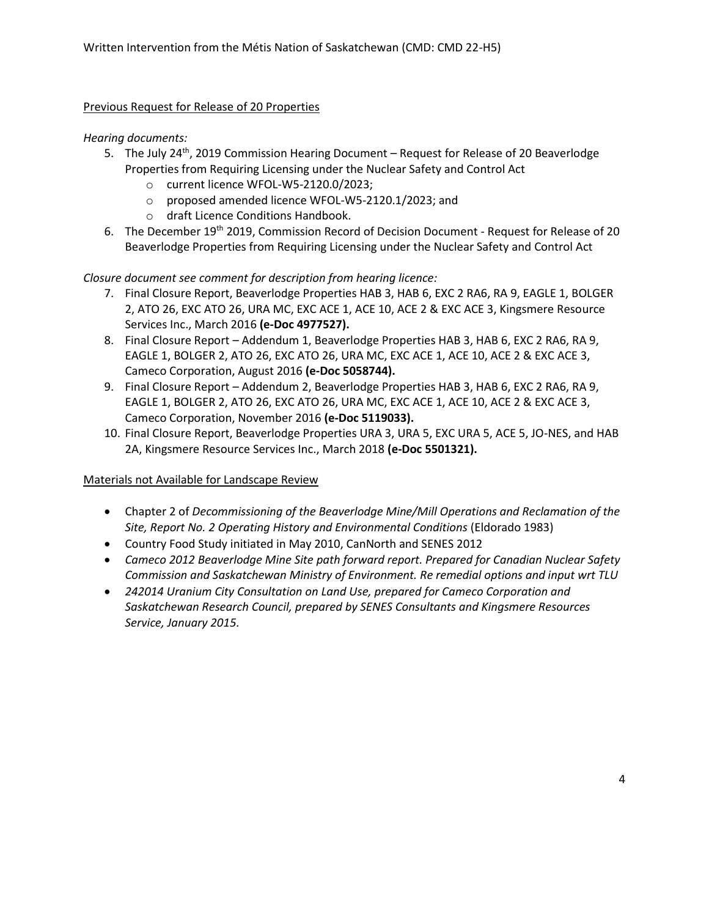### Previous Request for Release of 20 Properties

#### *Hearing documents:*

- 5. The July 24<sup>th</sup>, 2019 Commission Hearing Document Request for Release of 20 Beaverlodge Properties from Requiring Licensing under the Nuclear Safety and Control Act
	- o current licence WFOL-W5-2120.0/2023;
	- o proposed amended licence WFOL-W5-2120.1/2023; and
	- o draft Licence Conditions Handbook.
- 6. The December 19th 2019, Commission Record of Decision Document Request for Release of 20 Beaverlodge Properties from Requiring Licensing under the Nuclear Safety and Control Act

# *Closure document see comment for description from hearing licence:*

- 7. Final Closure Report, Beaverlodge Properties HAB 3, HAB 6, EXC 2 RA6, RA 9, EAGLE 1, BOLGER 2, ATO 26, EXC ATO 26, URA MC, EXC ACE 1, ACE 10, ACE 2 & EXC ACE 3, Kingsmere Resource Services Inc., March 2016 **(e-Doc 4977527).**
- 8. Final Closure Report Addendum 1, Beaverlodge Properties HAB 3, HAB 6, EXC 2 RA6, RA 9, EAGLE 1, BOLGER 2, ATO 26, EXC ATO 26, URA MC, EXC ACE 1, ACE 10, ACE 2 & EXC ACE 3, Cameco Corporation, August 2016 **(e-Doc 5058744).**
- 9. Final Closure Report Addendum 2, Beaverlodge Properties HAB 3, HAB 6, EXC 2 RA6, RA 9, EAGLE 1, BOLGER 2, ATO 26, EXC ATO 26, URA MC, EXC ACE 1, ACE 10, ACE 2 & EXC ACE 3, Cameco Corporation, November 2016 **(e-Doc 5119033).**
- 10. Final Closure Report, Beaverlodge Properties URA 3, URA 5, EXC URA 5, ACE 5, JO-NES, and HAB 2A, Kingsmere Resource Services Inc., March 2018 **(e-Doc 5501321).**

# Materials not Available for Landscape Review

- Chapter 2 of *Decommissioning of the Beaverlodge Mine/Mill Operations and Reclamation of the Site, Report No. 2 Operating History and Environmental Conditions* (Eldorado 1983)
- Country Food Study initiated in May 2010, CanNorth and SENES 2012
- *Cameco 2012 Beaverlodge Mine Site path forward report. Prepared for Canadian Nuclear Safety Commission and Saskatchewan Ministry of Environment. Re remedial options and input wrt TLU*
- *242014 Uranium City Consultation on Land Use, prepared for Cameco Corporation and Saskatchewan Research Council, prepared by SENES Consultants and Kingsmere Resources Service, January 2015.*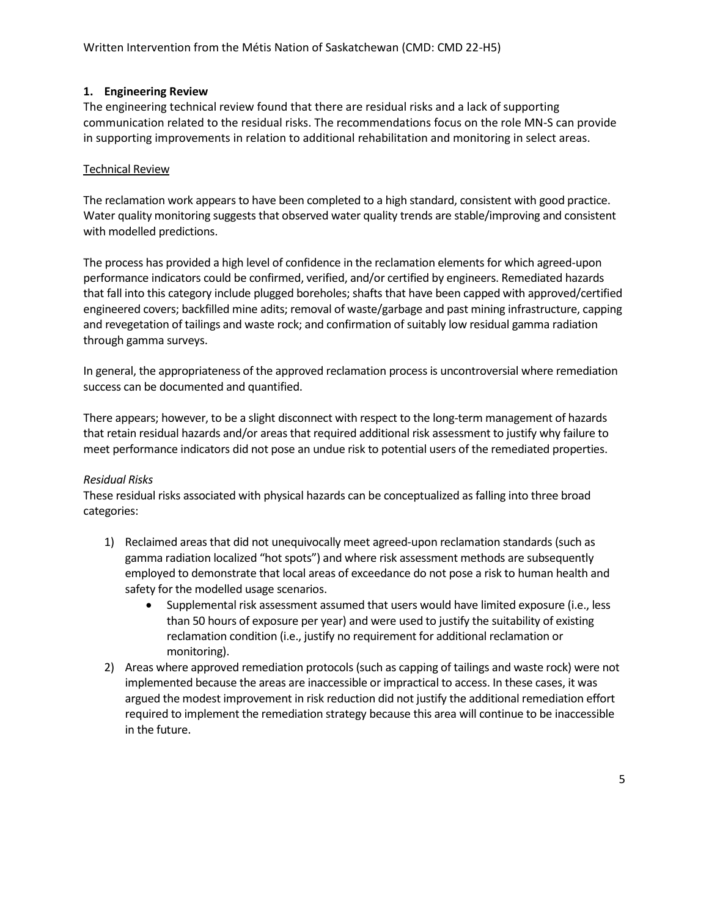# **1. Engineering Review**

The engineering technical review found that there are residual risks and a lack of supporting communication related to the residual risks. The recommendations focus on the role MN-S can provide in supporting improvements in relation to additional rehabilitation and monitoring in select areas.

# Technical Review

The reclamation work appears to have been completed to a high standard, consistent with good practice. Water quality monitoring suggests that observed water quality trends are stable/improving and consistent with modelled predictions.

The process has provided a high level of confidence in the reclamation elements for which agreed-upon performance indicators could be confirmed, verified, and/or certified by engineers. Remediated hazards that fall into this category include plugged boreholes; shafts that have been capped with approved/certified engineered covers; backfilled mine adits; removal of waste/garbage and past mining infrastructure, capping and revegetation of tailings and waste rock; and confirmation of suitably low residual gamma radiation through gamma surveys.

In general, the appropriateness of the approved reclamation process is uncontroversial where remediation success can be documented and quantified.

There appears; however, to be a slight disconnect with respect to the long-term management of hazards that retain residual hazards and/or areas that required additional risk assessment to justify why failure to meet performance indicators did not pose an undue risk to potential users of the remediated properties.

# *Residual Risks*

These residual risks associated with physical hazards can be conceptualized as falling into three broad categories:

- 1) Reclaimed areas that did not unequivocally meet agreed-upon reclamation standards (such as gamma radiation localized "hot spots") and where risk assessment methods are subsequently employed to demonstrate that local areas of exceedance do not pose a risk to human health and safety for the modelled usage scenarios.
	- Supplemental risk assessment assumed that users would have limited exposure (i.e., less than 50 hours of exposure per year) and were used to justify the suitability of existing reclamation condition (i.e., justify no requirement for additional reclamation or monitoring).
- 2) Areas where approved remediation protocols (such as capping of tailings and waste rock) were not implemented because the areas are inaccessible or impractical to access. In these cases, it was argued the modest improvement in risk reduction did not justify the additional remediation effort required to implement the remediation strategy because this area will continue to be inaccessible in the future.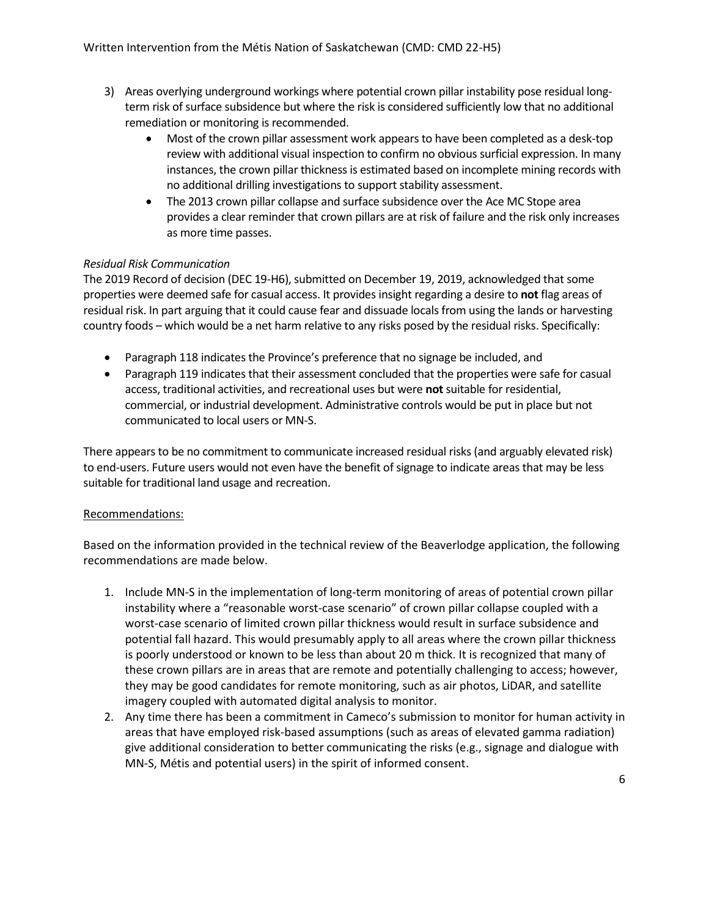- 3) Areas overlying underground workings where potential crown pillar instability pose residual longterm risk of surface subsidence but where the risk is considered sufficiently low that no additional remediation or monitoring is recommended.
	- Most of the crown pillar assessment work appears to have been completed as a desk-top review with additional visual inspection to confirm no obvious surficial expression. In many instances, the crown pillar thickness is estimated based on incomplete mining records with no additional drilling investigations to support stability assessment.
	- The 2013 crown pillar collapse and surface subsidence over the Ace MC Stope area provides a clear reminder that crown pillars are at risk of failure and the risk only increases as more time passes.

# *Residual Risk Communication*

The 2019 Record of decision (DEC 19-H6), submitted on December 19, 2019, acknowledged that some properties were deemed safe for casual access. It provides insight regarding a desire to **not** flag areas of residual risk. In part arguing that it could cause fear and dissuade locals from using the lands or harvesting country foods – which would be a net harm relative to any risks posed by the residual risks. Specifically:

- Paragraph 118 indicates the Province's preference that no signage be included, and
- Paragraph 119 indicates that their assessment concluded that the properties were safe for casual access, traditional activities, and recreational uses but were **not** suitable for residential, commercial, or industrial development. Administrative controls would be put in place but not communicated to local users or MN-S.

There appears to be no commitment to communicate increased residual risks (and arguably elevated risk) to end-users. Future users would not even have the benefit of signage to indicate areas that may be less suitable for traditional land usage and recreation.

# Recommendations:

Based on the information provided in the technical review of the Beaverlodge application, the following recommendations are made below.

- 1. Include MN-S in the implementation of long-term monitoring of areas of potential crown pillar instability where a "reasonable worst-case scenario" of crown pillar collapse coupled with a worst-case scenario of limited crown pillar thickness would result in surface subsidence and potential fall hazard. This would presumably apply to all areas where the crown pillar thickness is poorly understood or known to be less than about 20 m thick. It is recognized that many of these crown pillars are in areas that are remote and potentially challenging to access; however, they may be good candidates for remote monitoring, such as air photos, LiDAR, and satellite imagery coupled with automated digital analysis to monitor.
- 2. Any time there has been a commitment in Cameco's submission to monitor for human activity in areas that have employed risk-based assumptions (such as areas of elevated gamma radiation) give additional consideration to better communicating the risks (e.g., signage and dialogue with MN-S, Métis and potential users) in the spirit of informed consent.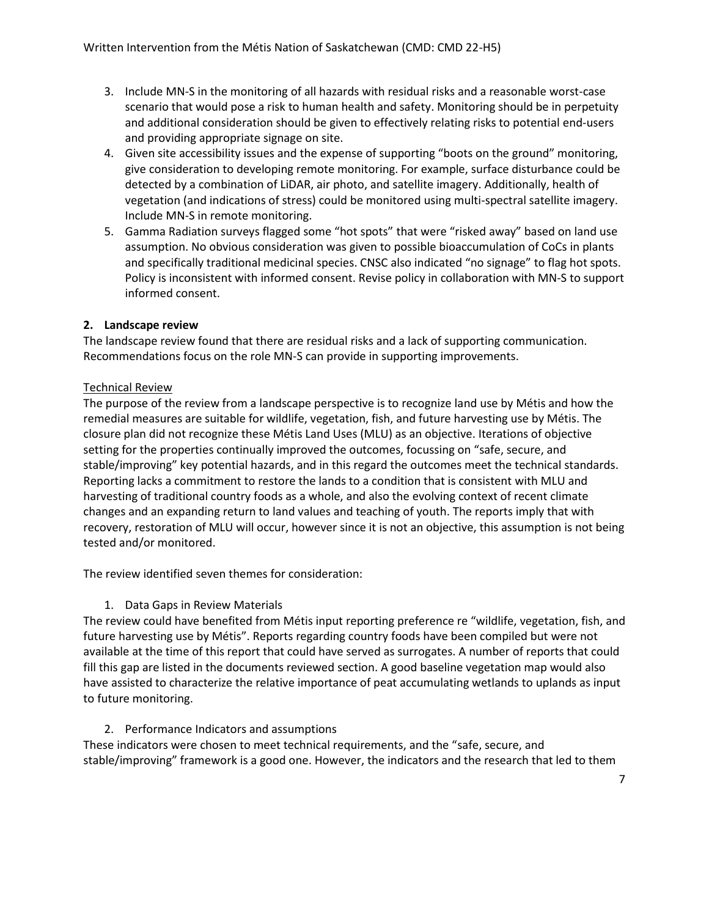- 3. Include MN-S in the monitoring of all hazards with residual risks and a reasonable worst-case scenario that would pose a risk to human health and safety. Monitoring should be in perpetuity and additional consideration should be given to effectively relating risks to potential end-users and providing appropriate signage on site.
- 4. Given site accessibility issues and the expense of supporting "boots on the ground" monitoring, give consideration to developing remote monitoring. For example, surface disturbance could be detected by a combination of LiDAR, air photo, and satellite imagery. Additionally, health of vegetation (and indications of stress) could be monitored using multi-spectral satellite imagery. Include MN-S in remote monitoring.
- 5. Gamma Radiation surveys flagged some "hot spots" that were "risked away" based on land use assumption. No obvious consideration was given to possible bioaccumulation of CoCs in plants and specifically traditional medicinal species. CNSC also indicated "no signage" to flag hot spots. Policy is inconsistent with informed consent. Revise policy in collaboration with MN-S to support informed consent.

# **2. Landscape review**

The landscape review found that there are residual risks and a lack of supporting communication. Recommendations focus on the role MN-S can provide in supporting improvements.

# Technical Review

The purpose of the review from a landscape perspective is to recognize land use by Métis and how the remedial measures are suitable for wildlife, vegetation, fish, and future harvesting use by Métis. The closure plan did not recognize these Métis Land Uses (MLU) as an objective. Iterations of objective setting for the properties continually improved the outcomes, focussing on "safe, secure, and stable/improving" key potential hazards, and in this regard the outcomes meet the technical standards. Reporting lacks a commitment to restore the lands to a condition that is consistent with MLU and harvesting of traditional country foods as a whole, and also the evolving context of recent climate changes and an expanding return to land values and teaching of youth. The reports imply that with recovery, restoration of MLU will occur, however since it is not an objective, this assumption is not being tested and/or monitored.

The review identified seven themes for consideration:

# 1. Data Gaps in Review Materials

The review could have benefited from Métis input reporting preference re "wildlife, vegetation, fish, and future harvesting use by Métis". Reports regarding country foods have been compiled but were not available at the time of this report that could have served as surrogates. A number of reports that could fill this gap are listed in the documents reviewed section. A good baseline vegetation map would also have assisted to characterize the relative importance of peat accumulating wetlands to uplands as input to future monitoring.

# 2. Performance Indicators and assumptions

These indicators were chosen to meet technical requirements, and the "safe, secure, and stable/improving" framework is a good one. However, the indicators and the research that led to them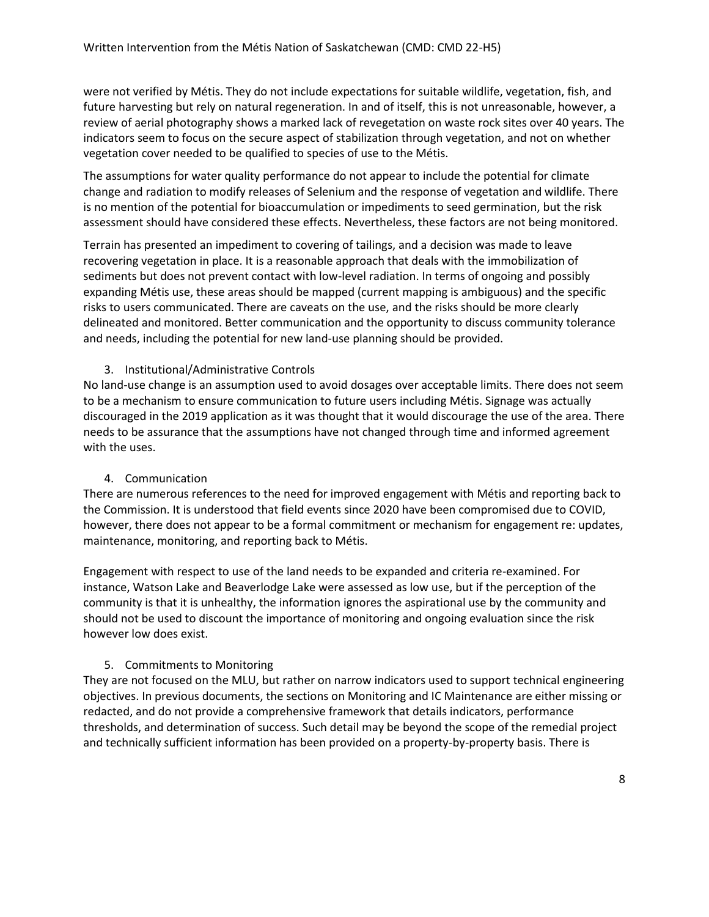were not verified by Métis. They do not include expectations for suitable wildlife, vegetation, fish, and future harvesting but rely on natural regeneration. In and of itself, this is not unreasonable, however, a review of aerial photography shows a marked lack of revegetation on waste rock sites over 40 years. The indicators seem to focus on the secure aspect of stabilization through vegetation, and not on whether vegetation cover needed to be qualified to species of use to the Métis.

The assumptions for water quality performance do not appear to include the potential for climate change and radiation to modify releases of Selenium and the response of vegetation and wildlife. There is no mention of the potential for bioaccumulation or impediments to seed germination, but the risk assessment should have considered these effects. Nevertheless, these factors are not being monitored.

Terrain has presented an impediment to covering of tailings, and a decision was made to leave recovering vegetation in place. It is a reasonable approach that deals with the immobilization of sediments but does not prevent contact with low-level radiation. In terms of ongoing and possibly expanding Métis use, these areas should be mapped (current mapping is ambiguous) and the specific risks to users communicated. There are caveats on the use, and the risks should be more clearly delineated and monitored. Better communication and the opportunity to discuss community tolerance and needs, including the potential for new land-use planning should be provided.

# 3. Institutional/Administrative Controls

No land-use change is an assumption used to avoid dosages over acceptable limits. There does not seem to be a mechanism to ensure communication to future users including Métis. Signage was actually discouraged in the 2019 application as it was thought that it would discourage the use of the area. There needs to be assurance that the assumptions have not changed through time and informed agreement with the uses.

# 4. Communication

There are numerous references to the need for improved engagement with Métis and reporting back to the Commission. It is understood that field events since 2020 have been compromised due to COVID, however, there does not appear to be a formal commitment or mechanism for engagement re: updates, maintenance, monitoring, and reporting back to Métis.

Engagement with respect to use of the land needs to be expanded and criteria re-examined. For instance, Watson Lake and Beaverlodge Lake were assessed as low use, but if the perception of the community is that it is unhealthy, the information ignores the aspirational use by the community and should not be used to discount the importance of monitoring and ongoing evaluation since the risk however low does exist.

# 5. Commitments to Monitoring

They are not focused on the MLU, but rather on narrow indicators used to support technical engineering objectives. In previous documents, the sections on Monitoring and IC Maintenance are either missing or redacted, and do not provide a comprehensive framework that details indicators, performance thresholds, and determination of success. Such detail may be beyond the scope of the remedial project and technically sufficient information has been provided on a property-by-property basis. There is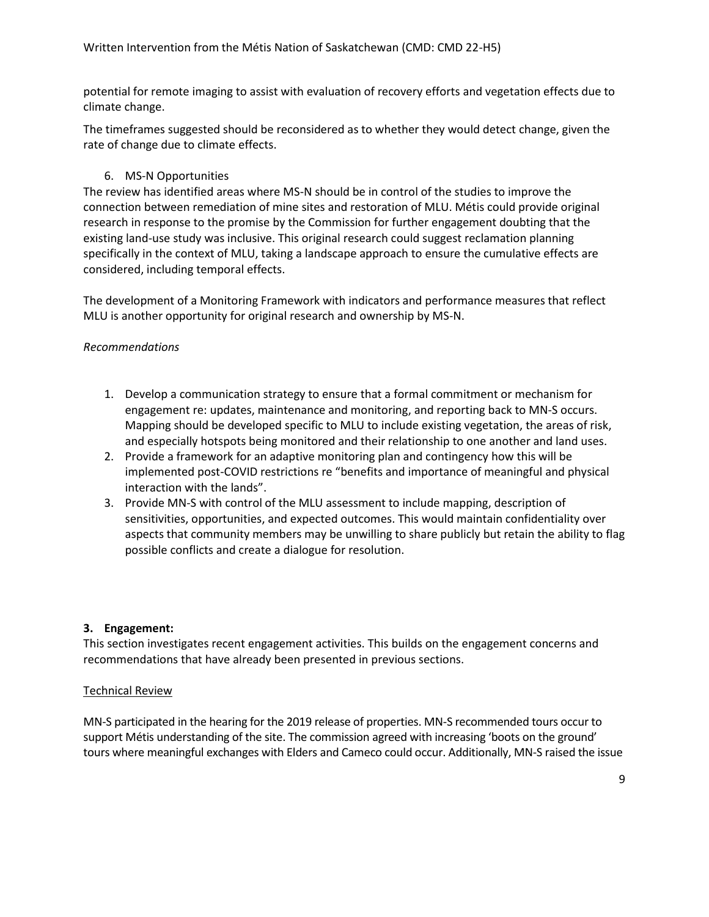potential for remote imaging to assist with evaluation of recovery efforts and vegetation effects due to climate change.

The timeframes suggested should be reconsidered as to whether they would detect change, given the rate of change due to climate effects.

# 6. MS-N Opportunities

The review has identified areas where MS-N should be in control of the studies to improve the connection between remediation of mine sites and restoration of MLU. Métis could provide original research in response to the promise by the Commission for further engagement doubting that the existing land-use study was inclusive. This original research could suggest reclamation planning specifically in the context of MLU, taking a landscape approach to ensure the cumulative effects are considered, including temporal effects.

The development of a Monitoring Framework with indicators and performance measures that reflect MLU is another opportunity for original research and ownership by MS-N.

# *Recommendations*

- 1. Develop a communication strategy to ensure that a formal commitment or mechanism for engagement re: updates, maintenance and monitoring, and reporting back to MN-S occurs. Mapping should be developed specific to MLU to include existing vegetation, the areas of risk, and especially hotspots being monitored and their relationship to one another and land uses.
- 2. Provide a framework for an adaptive monitoring plan and contingency how this will be implemented post-COVID restrictions re "benefits and importance of meaningful and physical interaction with the lands".
- 3. Provide MN-S with control of the MLU assessment to include mapping, description of sensitivities, opportunities, and expected outcomes. This would maintain confidentiality over aspects that community members may be unwilling to share publicly but retain the ability to flag possible conflicts and create a dialogue for resolution.

#### **3. Engagement:**

This section investigates recent engagement activities. This builds on the engagement concerns and recommendations that have already been presented in previous sections.

# Technical Review

MN-S participated in the hearing for the 2019 release of properties. MN-S recommended tours occur to support Métis understanding of the site. The commission agreed with increasing 'boots on the ground' tours where meaningful exchanges with Elders and Cameco could occur. Additionally, MN-S raised the issue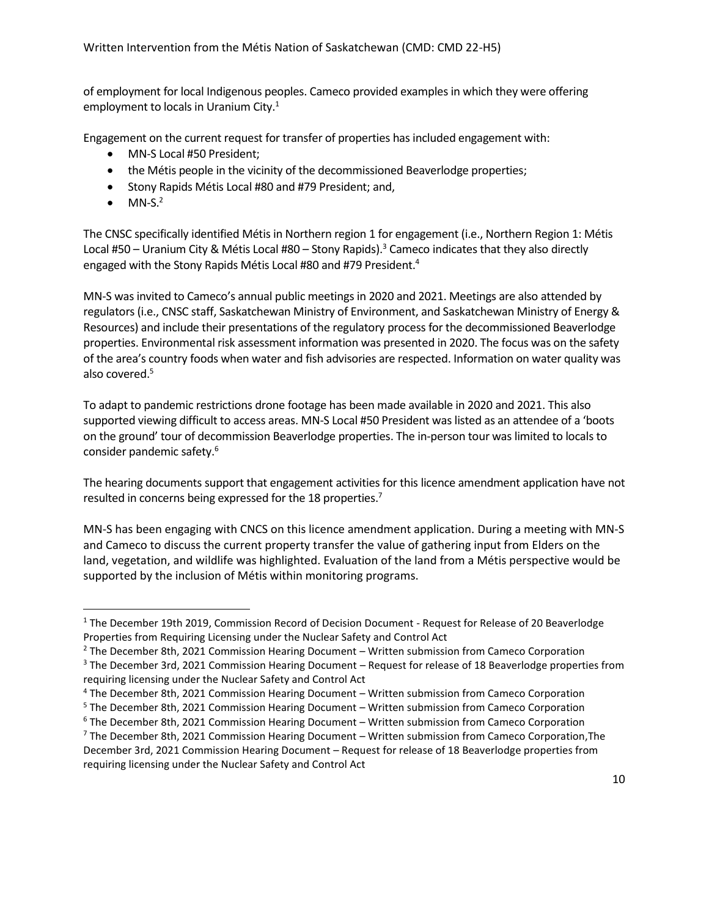of employment for local Indigenous peoples. Cameco provided examples in which they were offering employment to locals in Uranium City. $1$ 

Engagement on the current request for transfer of properties has included engagement with:

- MN-S Local #50 President;
- the Métis people in the vicinity of the decommissioned Beaverlodge properties;
- Stony Rapids Métis Local #80 and #79 President; and,
- $\bullet$  MN-S.<sup>2</sup>

The CNSC specifically identified Métis in Northern region 1 for engagement (i.e., Northern Region 1: Métis Local #50 – Uranium City & Métis Local #80 – Stony Rapids).<sup>3</sup> Cameco indicates that they also directly engaged with the Stony Rapids Métis Local #80 and #79 President.<sup>4</sup>

MN-S was invited to Cameco's annual public meetings in 2020 and 2021. Meetings are also attended by regulators (i.e., CNSC staff, Saskatchewan Ministry of Environment, and Saskatchewan Ministry of Energy & Resources) and include their presentations of the regulatory process for the decommissioned Beaverlodge properties. Environmental risk assessment information was presented in 2020. The focus was on the safety of the area's country foods when water and fish advisories are respected. Information on water quality was also covered. 5

To adapt to pandemic restrictions drone footage has been made available in 2020 and 2021. This also supported viewing difficult to access areas. MN-S Local #50 President was listed as an attendee of a 'boots on the ground' tour of decommission Beaverlodge properties. The in-person tour was limited to locals to consider pandemic safety. 6

The hearing documents support that engagement activities for this licence amendment application have not resulted in concerns being expressed for the 18 properties.<sup>7</sup>

MN-S has been engaging with CNCS on this licence amendment application. During a meeting with MN-S and Cameco to discuss the current property transfer the value of gathering input from Elders on the land, vegetation, and wildlife was highlighted. Evaluation of the land from a Métis perspective would be supported by the inclusion of Métis within monitoring programs.

<sup>&</sup>lt;sup>1</sup> The December 19th 2019, Commission Record of Decision Document - Request for Release of 20 Beaverlodge Properties from Requiring Licensing under the Nuclear Safety and Control Act

<sup>2</sup> The December 8th, 2021 Commission Hearing Document – Written submission from Cameco Corporation

<sup>3</sup> The December 3rd, 2021 Commission Hearing Document – Request for release of 18 Beaverlodge properties from requiring licensing under the Nuclear Safety and Control Act

<sup>4</sup> The December 8th, 2021 Commission Hearing Document – Written submission from Cameco Corporation

<sup>5</sup> The December 8th, 2021 Commission Hearing Document – Written submission from Cameco Corporation

<sup>6</sup> The December 8th, 2021 Commission Hearing Document – Written submission from Cameco Corporation

 $7$  The December 8th, 2021 Commission Hearing Document – Written submission from Cameco Corporation, The December 3rd, 2021 Commission Hearing Document – Request for release of 18 Beaverlodge properties from requiring licensing under the Nuclear Safety and Control Act